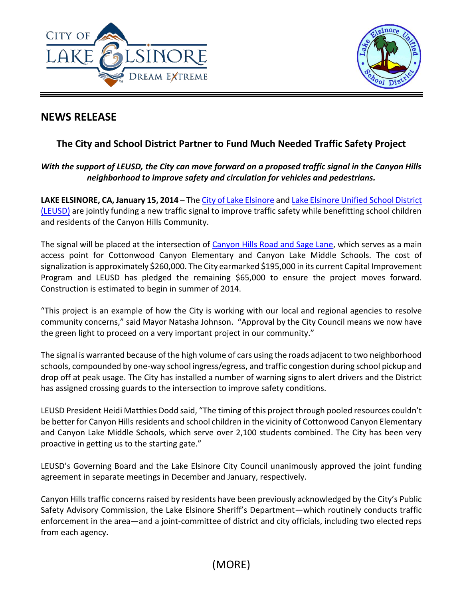



# **NEWS RELEASE**

# **The City and School District Partner to Fund Much Needed Traffic Safety Project**

# *With the support of LEUSD, the City can move forward on a proposed traffic signal in the Canyon Hills neighborhood to improve safety and circulation for vehicles and pedestrians.*

**LAKE ELSINORE, CA, January 15, 2014** – Th[e City of Lake Elsinore](http://www.lake-elsinore.org/) an[d Lake Elsinore Unified School District](http://www.leusd.k12.ca.us/)  [\(LEUSD\)](http://www.leusd.k12.ca.us/) are jointly funding a new traffic signal to improve traffic safety while benefitting school children and residents of the Canyon Hills Community.

The signal will be placed at the intersection of [Canyon Hills Road and Sage Lane,](http://mapq.st/1ePophy) which serves as a main access point for Cottonwood Canyon Elementary and Canyon Lake Middle Schools. The cost of signalization is approximately \$260,000. The City earmarked \$195,000 in its current Capital Improvement Program and LEUSD has pledged the remaining \$65,000 to ensure the project moves forward. Construction is estimated to begin in summer of 2014.

"This project is an example of how the City is working with our local and regional agencies to resolve community concerns," said Mayor Natasha Johnson. "Approval by the City Council means we now have the green light to proceed on a very important project in our community."

The signal is warranted because of the high volume of cars using the roads adjacent to two neighborhood schools, compounded by one-way school ingress/egress, and traffic congestion during school pickup and drop off at peak usage. The City has installed a number of warning signs to alert drivers and the District has assigned crossing guards to the intersection to improve safety conditions.

LEUSD President Heidi Matthies Dodd said, "The timing of this project through pooled resources couldn't be better for Canyon Hills residents and school children in the vicinity of Cottonwood Canyon Elementary and Canyon Lake Middle Schools, which serve over 2,100 students combined. The City has been very proactive in getting us to the starting gate."

LEUSD's Governing Board and the Lake Elsinore City Council unanimously approved the joint funding agreement in separate meetings in December and January, respectively.

Canyon Hills traffic concerns raised by residents have been previously acknowledged by the City's Public Safety Advisory Commission, the Lake Elsinore Sheriff's Department—which routinely conducts traffic enforcement in the area—and a joint-committee of district and city officials, including two elected reps from each agency.

(MORE)